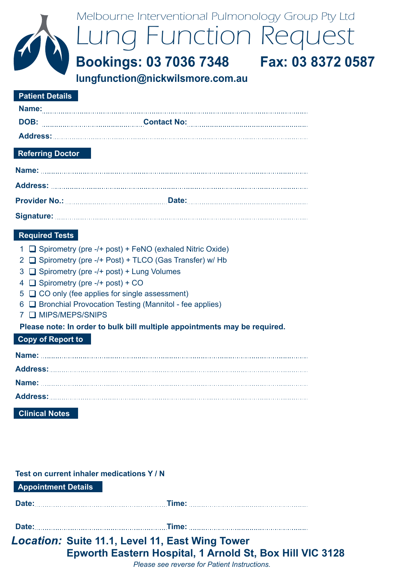## *Lung Function Request Melbourne Interventional Pulmonology Group Pty Ltd* **lungfunction@nickwilsmore.com.au Bookings: 03 7036 7348 Fax: 03 8372 0587**

#### **Patient Details**

| Name:           |                    |
|-----------------|--------------------|
| DOB:            | <b>Contact No:</b> |
| <b>Address:</b> |                    |

### **Referring Doctor**

| Signature: <b>Maria Commission Commission Commission Commission Commission Commission Commission Commission</b> |  |
|-----------------------------------------------------------------------------------------------------------------|--|

### **Required Tests**

- 1 Spirometry (pre -/+ post) + FeNO (exhaled Nitric Oxide)
- 2 Spirometry (pre -/+ Post) + TLCO (Gas Transfer) w/ Hb
- 3 Spirometry (pre -/+ post) + Lung Volumes
- 4 Spirometry (pre -/+ post) + CO
- 5 CO only (fee applies for single assessment)
- 6 **Bronchial Provocation Testing (Mannitol fee applies)**
- 7 **□** MIPS/MEPS/SNIPS

**Please note: In order to bulk bill multiple appointments may be required.** 

### **Copy of Report to**

| <b>Clinical Notes</b> |  |  |
|-----------------------|--|--|

### **Test on current inhaler medications Y / N**

| <b>Appointment Details</b> |  |
|----------------------------|--|
|----------------------------|--|

**Date: Time:**

### **Location: Suite 11.1, Level 11, East Wing Tower Epworth Eastern Hospital, 1 Arnold St, Box Hill VIC 3128**

*Please see reverse for Patient Instructions.*